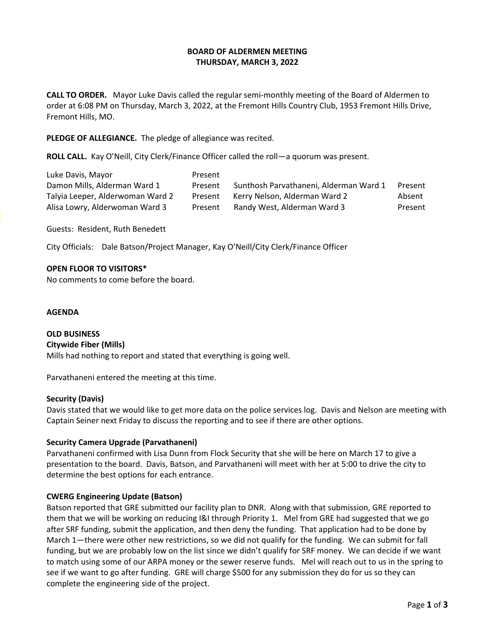## **BOARD OF ALDERMEN MEETING THURSDAY, MARCH 3, 2022**

**CALL TO ORDER.** Mayor Luke Davis called the regular semi-monthly meeting of the Board of Aldermen to order at 6:08 PM on Thursday, March 3, 2022, at the Fremont Hills Country Club, 1953 Fremont Hills Drive, Fremont Hills, MO.

**PLEDGE OF ALLEGIANCE.** The pledge of allegiance was recited.

**ROLL CALL.** Kay O'Neill, City Clerk/Finance Officer called the roll—a quorum was present.

| Luke Davis, Mayor                | Present |                                        |         |
|----------------------------------|---------|----------------------------------------|---------|
| Damon Mills, Alderman Ward 1     | Present | Sunthosh Parvathaneni, Alderman Ward 1 | Present |
| Talyia Leeper, Alderwoman Ward 2 | Present | Kerry Nelson, Alderman Ward 2          | Absent  |
| Alisa Lowry, Alderwoman Ward 3   | Present | Randy West, Alderman Ward 3            | Present |

Guests: Resident, Ruth Benedett

City Officials: Dale Batson/Project Manager, Kay O'Neill/City Clerk/Finance Officer

## **OPEN FLOOR TO VISITORS\***

No comments to come before the board.

#### **AGENDA**

**OLD BUSINESS Citywide Fiber (Mills)** Mills had nothing to report and stated that everything is going well.

Parvathaneni entered the meeting at this time.

## **Security (Davis)**

Davis stated that we would like to get more data on the police services log. Davis and Nelson are meeting with Captain Seiner next Friday to discuss the reporting and to see if there are other options.

## **Security Camera Upgrade (Parvathaneni)**

Parvathaneni confirmed with Lisa Dunn from Flock Security that she will be here on March 17 to give a presentation to the board. Davis, Batson, and Parvathaneni will meet with her at 5:00 to drive the city to determine the best options for each entrance.

## **CWERG Engineering Update (Batson)**

Batson reported that GRE submitted our facility plan to DNR. Along with that submission, GRE reported to them that we will be working on reducing I&I through Priority 1. Mel from GRE had suggested that we go after SRF funding, submit the application, and then deny the funding. That application had to be done by March 1—there were other new restrictions, so we did not qualify for the funding. We can submit for fall funding, but we are probably low on the list since we didn't qualify for SRF money. We can decide if we want to match using some of our ARPA money or the sewer reserve funds. Mel will reach out to us in the spring to see if we want to go after funding. GRE will charge \$500 for any submission they do for us so they can complete the engineering side of the project.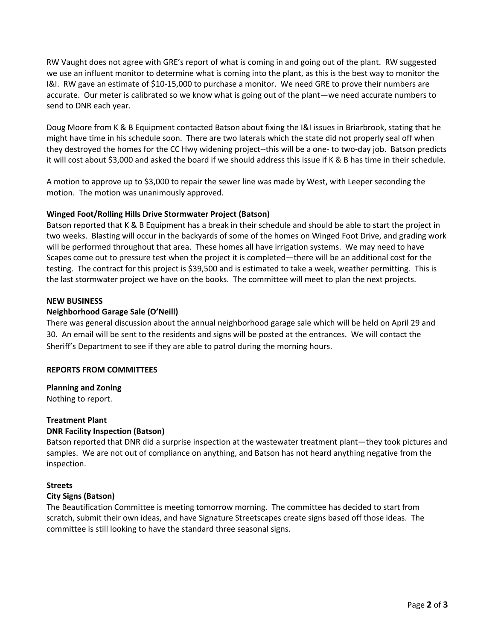RW Vaught does not agree with GRE's report of what is coming in and going out of the plant. RW suggested we use an influent monitor to determine what is coming into the plant, as this is the best way to monitor the I&I. RW gave an estimate of \$10-15,000 to purchase a monitor. We need GRE to prove their numbers are accurate. Our meter is calibrated so we know what is going out of the plant—we need accurate numbers to send to DNR each year.

Doug Moore from K & B Equipment contacted Batson about fixing the I&I issues in Briarbrook, stating that he might have time in his schedule soon. There are two laterals which the state did not properly seal off when they destroyed the homes for the CC Hwy widening project--this will be a one- to two-day job. Batson predicts it will cost about \$3,000 and asked the board if we should address this issue if K & B has time in their schedule.

A motion to approve up to \$3,000 to repair the sewer line was made by West, with Leeper seconding the motion. The motion was unanimously approved.

## **Winged Foot/Rolling Hills Drive Stormwater Project (Batson)**

Batson reported that K & B Equipment has a break in their schedule and should be able to start the project in two weeks. Blasting will occur in the backyards of some of the homes on Winged Foot Drive, and grading work will be performed throughout that area. These homes all have irrigation systems. We may need to have Scapes come out to pressure test when the project it is completed—there will be an additional cost for the testing. The contract for this project is \$39,500 and is estimated to take a week, weather permitting. This is the last stormwater project we have on the books. The committee will meet to plan the next projects.

## **NEW BUSINESS**

## **Neighborhood Garage Sale (O'Neill)**

There was general discussion about the annual neighborhood garage sale which will be held on April 29 and 30. An email will be sent to the residents and signs will be posted at the entrances. We will contact the Sheriff's Department to see if they are able to patrol during the morning hours.

## **REPORTS FROM COMMITTEES**

## **Planning and Zoning**

Nothing to report.

## **Treatment Plant**

## **DNR Facility Inspection (Batson)**

Batson reported that DNR did a surprise inspection at the wastewater treatment plant—they took pictures and samples. We are not out of compliance on anything, and Batson has not heard anything negative from the inspection.

## **Streets**

## **City Signs (Batson)**

The Beautification Committee is meeting tomorrow morning. The committee has decided to start from scratch, submit their own ideas, and have Signature Streetscapes create signs based off those ideas. The committee is still looking to have the standard three seasonal signs.